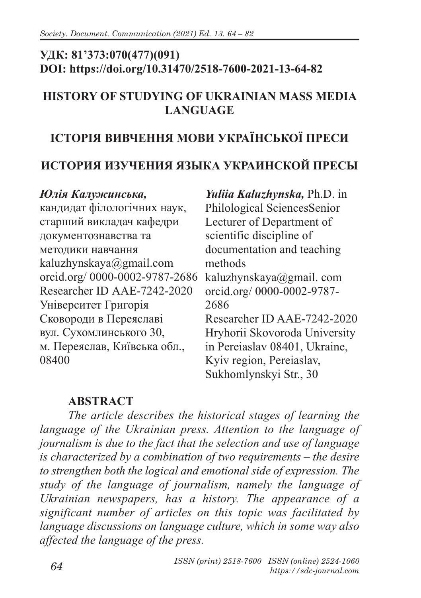## **УДК: 81'373:070(477)(091) DOI: https://doi.org/10.31470/2518-7600-2021-13-64-82**

#### **HISTORY OF STUDYING OF UKRAINIAN MASS MEDIA LANGUAGE**

# **ІСТОРІЯ ВИВЧЕННЯ МОВИ УКРАЇНСЬКОЇ ПРЕСИ**

### **ИСТОРИЯ ИЗУЧЕНИЯ ЯЗЫКА УКРАИНСКОЙ ПРЕСЫ**

#### *Юлія Калужинська,*

кандидат філологічних наук, старший викладач кафедри документознавства та методики навчання kaluzhynskaya@gmail.com orcid.org/ 0000-0002-9787-2686 kaluzhynskaya@gmail. com Researcher ID AAE-7242-2020 Університет Григорія Сковороди в Переяславі вул. Сухомлинського 30, м. Переяслав, Київська обл., 08400

*Yuliia Kaluzhynska,* Ph.D. in Philological SciencesSenior Lecturer of Department of scientific discipline of documentation and teaching methods orcid.org/ 0000-0002-9787- 2686 Researcher ID AAE-7242-2020 Hryhorii Skovoroda University in Pereiaslav 08401, Ukraine, Kyiv region, Pereiaslav, Sukhomlynskyi Str., 30

#### **ABSTRACT**

*The article describes the historical stages of learning the language of the Ukrainian press. Attention to the language of journalism is due to the fact that the selection and use of language is characterized by a combination of two requirements – the desire to strengthen both the logical and emotional side of expression. The study of the language of journalism, namely the language of Ukrainian newspapers, has a history. The appearance of a significant number of articles on this topic was facilitated by language discussions on language culture, which in some way also affected the language of the press.*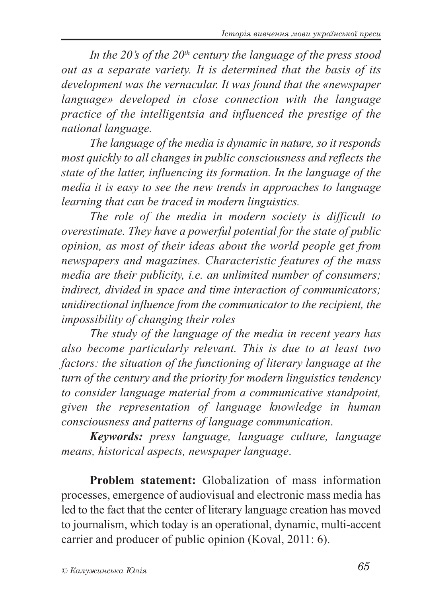*In the 20's of the 20th century the language of the press stood out as a separate variety. It is determined that the basis of its development was the vernacular. It was found that the «newspaper language» developed in close connection with the language practice of the intelligentsia and influenced the prestige of the national language.*

*The language of the media is dynamic in nature, so it responds most quickly to all changes in public consciousness and reflects the state of the latter, influencing its formation. In the language of the media it is easy to see the new trends in approaches to language learning that can be traced in modern linguistics.*

*The role of the media in modern society is difficult to overestimate. They have a powerful potential for the state of public opinion, as most of their ideas about the world people get from newspapers and magazines. Characteristic features of the mass media are their publicity, i.e. an unlimited number of consumers; indirect, divided in space and time interaction of communicators; unidirectional influence from the communicator to the recipient, the impossibility of changing their roles*

*The study of the language of the media in recent years has also become particularly relevant. This is due to at least two factors: the situation of the functioning of literary language at the turn of the century and the priority for modern linguistics tendency to consider language material from a communicative standpoint, given the representation of language knowledge in human consciousness and patterns of language communication*.

*Keywords: press language, language culture, language means, historical aspects, newspaper language*.

**Problem statement:** Globalization of mass information processes, emergence of audiovisual and electronic mass media has led to the fact that the center of literary language creation has moved to journalism, which today is an operational, dynamic, multi-accent carrier and producer of public opinion (Koval, 2011: 6).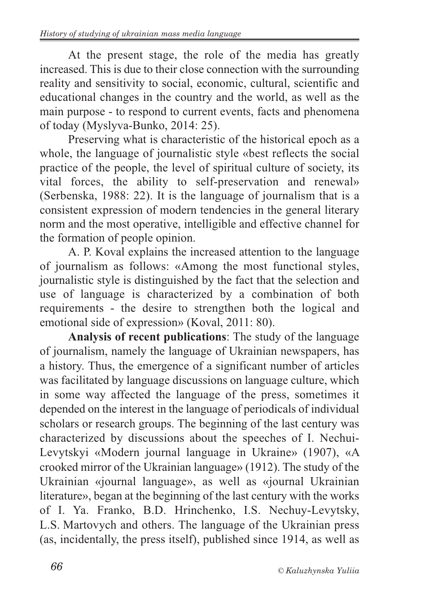At the present stage, the role of the media has greatly increased. This is due to their close connection with the surrounding reality and sensitivity to social, economic, cultural, scientific and educational changes in the country and the world, as well as the main purpose - to respond to current events, facts and phenomena of today (Myslyva-Bunko, 2014: 25).

Preserving what is characteristic of the historical epoch as a whole, the language of journalistic style «best reflects the social practice of the people, the level of spiritual culture of society, its vital forces, the ability to self-preservation and renewal» (Serbenska, 1988: 22). It is the language of journalism that is a consistent expression of modern tendencies in the general literary norm and the most operative, intelligible and effective channel for the formation of people opinion.

A. P. Koval explains the increased attention to the language of journalism as follows: «Among the most functional styles, journalistic style is distinguished by the fact that the selection and use of language is characterized by a combination of both requirements - the desire to strengthen both the logical and emotional side of expression» (Koval, 2011: 80).

**Analysis of recent publications**: The study of the language of journalism, namely the language of Ukrainian newspapers, has a history. Thus, the emergence of a significant number of articles was facilitated by language discussions on language culture, which in some way affected the language of the press, sometimes it depended on the interest in the language of periodicals of individual scholars or research groups. The beginning of the last century was characterized by discussions about the speeches of I. Nechui-Levytskyi «Modern journal language in Ukraine» (1907), «A crooked mirror of the Ukrainian language» (1912). The study of the Ukrainian «journal language», as well as «journal Ukrainian literature», began at the beginning of the last century with the works of I. Ya. Franko, B.D. Hrinchenko, I.S. Nechuy-Levytsky, L.S. Martovych and others. The language of the Ukrainian press (as, incidentally, the press itself), published since 1914, as well as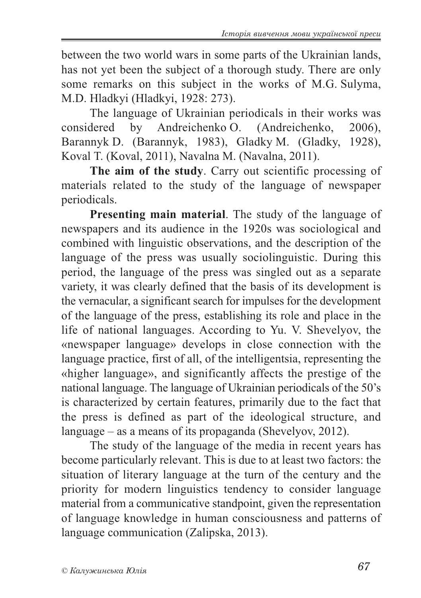between the two world wars in some parts of the Ukrainian lands, has not yet been the subject of a thorough study. There are only some remarks on this subject in the works of M.G. Sulyma, M.D. Hladkyi (Hladkyi, 1928: 273).

The language of Ukrainian periodicals in their works was considered by Andreichenko O. (Andreichenko, 2006), Barannyk D. (Barannyk, 1983), Gladky M. (Gladky, 1928), Koval T. (Koval, 2011), Navalna M. (Navalna, 2011).

**The aim of the study**. Carry out scientific processing of materials related to the study of the language of newspaper periodicals.

**Presenting main material**. The study of the language of newspapers and its audience in the 1920s was sociological and combined with linguistic observations, and the description of the language of the press was usually sociolinguistic. During this period, the language of the press was singled out as a separate variety, it was clearly defined that the basis of its development is the vernacular, a significant search for impulses for the development of the language of the press, establishing its role and place in the life of national languages. According to Yu. V. Shevelyov, the «newspaper language» develops in close connection with the language practice, first of all, of the intelligentsia, representing the «higher language», and significantly affects the prestige of the national language. The language of Ukrainian periodicals of the 50's is characterized by certain features, primarily due to the fact that the press is defined as part of the ideological structure, and language – as a means of its propaganda (Shevelyov, 2012).

The study of the language of the media in recent years has become particularly relevant. This is due to at least two factors: the situation of literary language at the turn of the century and the priority for modern linguistics tendency to consider language material from a communicative standpoint, given the representation of language knowledge in human consciousness and patterns of language communication (Zalipska, 2013).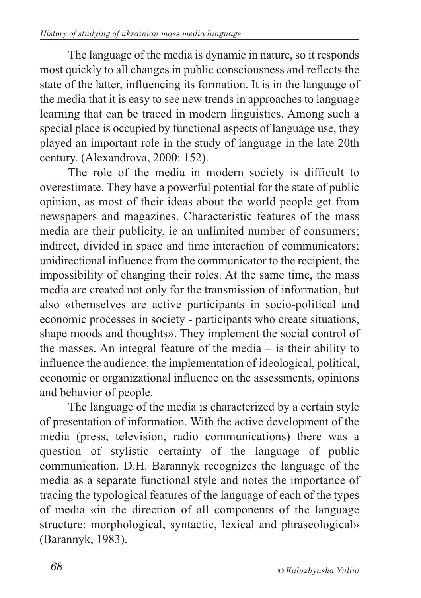The language of the media is dynamic in nature, so it responds most quickly to all changes in public consciousness and reflects the state of the latter, influencing its formation. It is in the language of the media that it is easy to see new trends in approaches to language learning that can be traced in modern linguistics. Among such a special place is occupied by functional aspects of language use, they played an important role in the study of language in the late 20th century. (Alexandrova, 2000: 152).

The role of the media in modern society is difficult to overestimate. They have a powerful potential for the state of public opinion, as most of their ideas about the world people get from newspapers and magazines. Characteristic features of the mass media are their publicity, ie an unlimited number of consumers; indirect, divided in space and time interaction of communicators; unidirectional influence from the communicator to the recipient, the impossibility of changing their roles. At the same time, the mass media are created not only for the transmission of information, but also «themselves are active participants in socio-political and economic processes in society - participants who create situations, shape moods and thoughts». They implement the social control of the masses. An integral feature of the media – is their ability to influence the audience, the implementation of ideological, political, economic or organizational influence on the assessments, opinions and behavior of people.

The language of the media is characterized by a certain style of presentation of information. With the active development of the media (press, television, radio communications) there was a question of stylistic certainty of the language of public communication. D.H. Barannyk recognizes the language of the media as a separate functional style and notes the importance of tracing the typological features of the language of each of the types of media «in the direction of all components of the language structure: morphological, syntactic, lexical and phraseological» (Barannyk, 1983).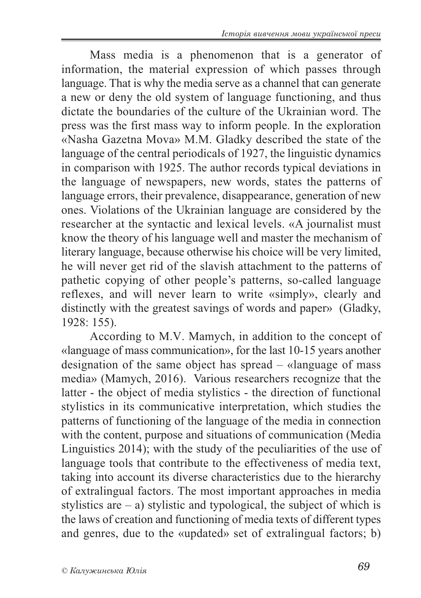Mass media is a phenomenon that is a generator of information, the material expression of which passes through language. That is why the media serve as a channel that can generate a new or deny the old system of language functioning, and thus dictate the boundaries of the culture of the Ukrainian word. The press was the first mass way to inform people. In the exploration «Nasha Gazetna Mova» M.M. Gladky described the state of the language of the central periodicals of 1927, the linguistic dynamics in comparison with 1925. The author records typical deviations in the language of newspapers, new words, states the patterns of language errors, their prevalence, disappearance, generation of new ones. Violations of the Ukrainian language are considered by the researcher at the syntactic and lexical levels. «A journalist must know the theory of his language well and master the mechanism of literary language, because otherwise his choice will be very limited, he will never get rid of the slavish attachment to the patterns of pathetic copying of other people's patterns, so-called language reflexes, and will never learn to write «simply», clearly and distinctly with the greatest savings of words and paper» (Gladky, 1928: 155).

According to M.V. Mamych, in addition to the concept of «language of mass communication», for the last 10-15 years another designation of the same object has spread – «language of mass media» (Mamych, 2016). Various researchers recognize that the latter - the object of media stylistics - the direction of functional stylistics in its communicative interpretation, which studies the patterns of functioning of the language of the media in connection with the content, purpose and situations of communication (Media Linguistics 2014); with the study of the peculiarities of the use of language tools that contribute to the effectiveness of media text, taking into account its diverse characteristics due to the hierarchy of extralingual factors. The most important approaches in media stylistics are  $-$  a) stylistic and typological, the subject of which is the laws of creation and functioning of media texts of different types and genres, due to the «updated» set of extralingual factors; b)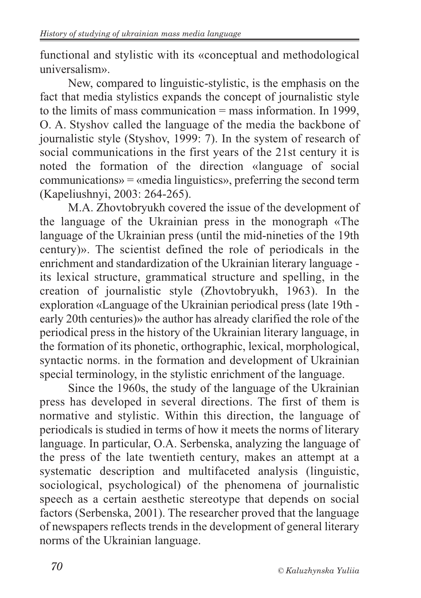functional and stylistic with its «conceptual and methodological universalism».

New, compared to linguistic-stylistic, is the emphasis on the fact that media stylistics expands the concept of journalistic style to the limits of mass communication = mass information. In 1999, O. A. Styshov called the language of the media the backbone of journalistic style (Styshov, 1999: 7). In the system of research of social communications in the first years of the 21st century it is noted the formation of the direction «language of social communications» = «media linguistics», preferring the second term (Kapeliushnyi, 2003: 264-265).

M.A. Zhovtobryukh covered the issue of the development of the language of the Ukrainian press in the monograph «The language of the Ukrainian press (until the mid-nineties of the 19th century)». The scientist defined the role of periodicals in the enrichment and standardization of the Ukrainian literary language its lexical structure, grammatical structure and spelling, in the creation of journalistic style (Zhovtobryukh, 1963). In the exploration «Language of the Ukrainian periodical press (late 19th early 20th centuries)» the author has already clarified the role of the periodical press in the history of the Ukrainian literary language, in the formation of its phonetic, orthographic, lexical, morphological, syntactic norms. in the formation and development of Ukrainian special terminology, in the stylistic enrichment of the language.

Since the 1960s, the study of the language of the Ukrainian press has developed in several directions. The first of them is normative and stylistic. Within this direction, the language of periodicals is studied in terms of how it meets the norms of literary language. In particular, O.A. Serbenska, analyzing the language of the press of the late twentieth century, makes an attempt at a systematic description and multifaceted analysis (linguistic, sociological, psychological) of the phenomena of journalistic speech as a certain aesthetic stereotype that depends on social factors (Serbenska, 2001). The researcher proved that the language of newspapers reflects trends in the development of general literary norms of the Ukrainian language.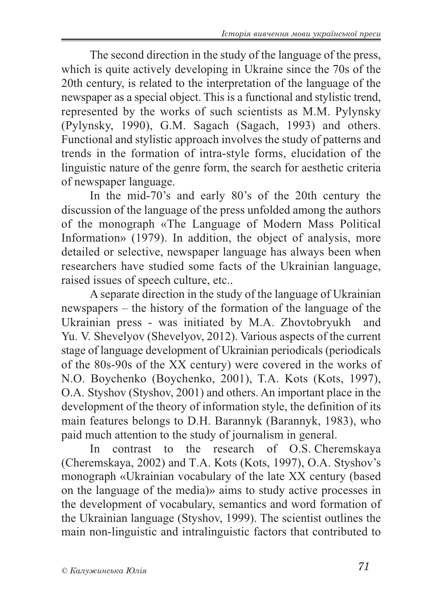The second direction in the study of the language of the press, which is quite actively developing in Ukraine since the 70s of the 20th century, is related to the interpretation of the language of the newspaper as a special object. This is a functional and stylistic trend, represented by the works of such scientists as M.M. Pylynsky (Pylynsky, 1990), G.M. Sagach (Sagach, 1993) and others. Functional and stylistic approach involves the study of patterns and trends in the formation of intra-style forms, elucidation of the linguistic nature of the genre form, the search for aesthetic criteria of newspaper language.

In the mid-70's and early 80's of the 20th century the discussion of the language of the press unfolded among the authors of the monograph «The Language of Modern Mass Political Information» (1979). In addition, the object of analysis, more detailed or selective, newspaper language has always been when researchers have studied some facts of the Ukrainian language, raised issues of speech culture, etc..

A separate direction in the study of the language of Ukrainian newspapers – the history of the formation of the language of the Ukrainian press - was initiated by M.A. Zhovtobryukh and Yu. V. Shevelyov (Shevelyov, 2012). Various aspects of the current stage of language development of Ukrainian periodicals (periodicals of the 80s-90s of the XX century) were covered in the works of N.O. Boychenko (Boychenko, 2001), T.A. Kots (Kots, 1997), O.A. Styshov (Styshov, 2001) and others. An important place in the development of the theory of information style, the definition of its main features belongs to D.H. Barannyk (Barannyk, 1983), who paid much attention to the study of journalism in general.

In contrast to the research of O.S. Cheremskaya (Cheremskaya, 2002) and T.A. Kots (Kots, 1997), O.A. Styshov's monograph «Ukrainian vocabulary of the late ХХ century (based on the language of the media)» aims to study active processes in the development of vocabulary, semantics and word formation of the Ukrainian language (Styshov, 1999). The scientist outlines the main non-linguistic and intralinguistic factors that contributed to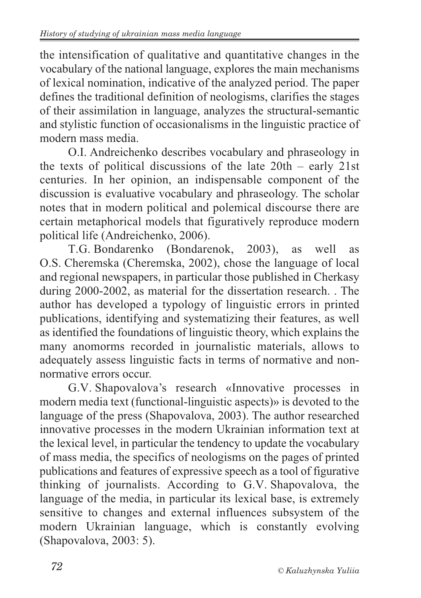the intensification of qualitative and quantitative changes in the vocabulary of the national language, explores the main mechanisms of lexical nomination, indicative of the analyzed period. The paper defines the traditional definition of neologisms, clarifies the stages of their assimilation in language, analyzes the structural-semantic and stylistic function of occasionalisms in the linguistic practice of modern mass media.

O.I. Andreichenko describes vocabulary and phraseology in the texts of political discussions of the late 20th – early 21st centuries. In her opinion, an indispensable component of the discussion is evaluative vocabulary and phraseology. The scholar notes that in modern political and polemical discourse there are certain metaphorical models that figuratively reproduce modern political life (Andreichenko, 2006).

T.G. Bondarenko (Bondarenok, 2003), as well as O.S. Cheremska (Cheremska, 2002), chose the language of local and regional newspapers, in particular those published in Cherkasy during 2000-2002, as material for the dissertation research. . The author has developed a typology of linguistic errors in printed publications, identifying and systematizing their features, as well as identified the foundations of linguistic theory, which explains the many anomorms recorded in journalistic materials, allows to adequately assess linguistic facts in terms of normative and nonnormative errors occur.

G.V. Shapovalova's research «Innovative processes in modern media text (functional-linguistic aspects)» is devoted to the language of the press (Shapovalova, 2003). The author researched innovative processes in the modern Ukrainian information text at the lexical level, in particular the tendency to update the vocabulary of mass media, the specifics of neologisms on the pages of printed publications and features of expressive speech as a tool of figurative thinking of journalists. According to G.V. Shapovalovа, the language of the media, in particular its lexical base, is extremely sensitive to changes and external influences subsystem of the modern Ukrainian language, which is constantly evolving (Shapovalova, 2003: 5).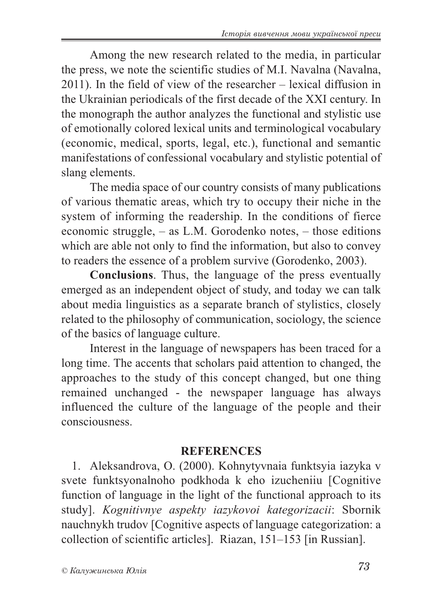Among the new research related to the media, in particular the press, we note the scientific studies of M.I. Navalna (Navalna, 2011). In the field of view of the researcher – lexical diffusion in the Ukrainian periodicals of the first decade of the XXI century. In the monograph the author analyzes the functional and stylistic use of emotionally colored lexical units and terminological vocabulary (economic, medical, sports, legal, etc.), functional and semantic manifestations of confessional vocabulary and stylistic potential of slang elements.

The media space of our country consists of many publications of various thematic areas, which try to occupy their niche in the system of informing the readership. In the conditions of fierce economic struggle, – as L.M. Gorodenko notes, – those editions which are able not only to find the information, but also to convey to readers the essence of a problem survive (Gorodenko, 2003).

**Conclusions**. Thus, the language of the press eventually emerged as an independent object of study, and today we can talk about media linguistics as a separate branch of stylistics, closely related to the philosophy of communication, sociology, the science of the basics of language culture.

Interest in the language of newspapers has been traced for a long time. The accents that scholars paid attention to changed, the approaches to the study of this concept changed, but one thing remained unchanged - the newspaper language has always influenced the culture of the language of the people and their consciousness.

#### **REFERENCES**

1. Aleksandrova, O. (2000). Kohnytyvnaia funktsyia iazyka v svete funktsyonalnoho podkhoda k eho izucheniiu [Cognitive function of language in the light of the functional approach to its study]. *Kognitivnye aspekty iazykovoi kategorizacii*: Sbornik nauchnykh trudov [Cognitive aspects of language categorization: a collection of scientific articles]. Riazan, 151–153 [in Russian].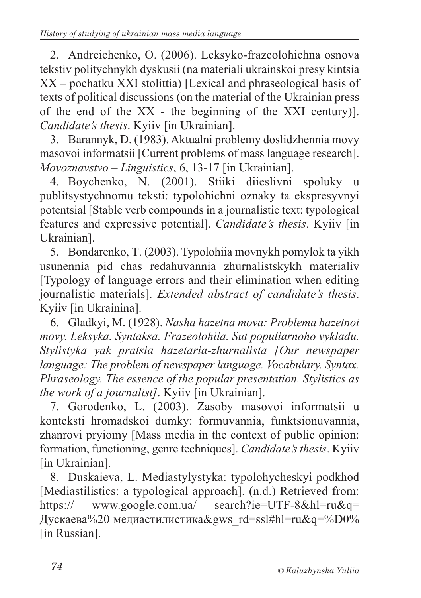2. Andreichenko, O. (2006). Leksyko-frazeolohichna osnova tekstiv politychnykh dyskusii (na materiali ukrainskoi presy kintsia XX – pochatku XXI stolittia) [Lexical and phraseological basis of texts of political discussions (on the material of the Ukrainian press of the end of the XX - the beginning of the XXI century)]. *Candidate's thesis*. Kyiiv [in Ukrainian].

3. Barannyk, D. (1983). Aktualni problemy doslidzhennia movy masovoi informatsii [Current problems of mass language research]. *Movoznavstvo* – *Linguistics*, 6, 13-17 [in Ukrainian].

4. Boychenko, N. (2001). Stiiki diieslivni spoluky u publitsystychnomu teksti: typolohichni oznaky ta ekspresyvnyi potentsial [Stable verb compounds in a journalistic text: typological features and expressive potential]. *Candidate's thesis*. Kyiiv [in Ukrainian].

5. Bondarenko, T. (2003). Typolohiia movnykh pomylok ta yikh usunennia pid chas redahuvannia zhurnalistskykh materialiv [Typology of language errors and their elimination when editing journalistic materials]. *Extended abstract of candidate's thesis*. Kyiiv [in Ukrainina].

6. Gladkyi, M. (1928). *Nasha hazetna mova: Problema hazetnoi movy. Leksyka. Syntaksa. Frazeolohiia. Sut populiarnoho vykladu. Stylistyka yak pratsia hazetaria-zhurnalista [Our newspaper language: The problem of newspaper language. Vocabulary. Syntax. Phraseology. The essence of the popular presentation. Stylistics as the work of a journalist]*. Kyiiv [in Ukrainian].

7. Gorodenko, L. (2003). Zasoby masovoi informatsii u konteksti hromadskoi dumky: formuvannia, funktsionuvannia, zhanrovi pryiomy [Mass media in the context of public opinion: formation, functioning, genre techniques]. *Candidate's thesis*. Kyiiv [in Ukrainian].

8. Duskaieva, L. Mediastylystyka: typolohycheskyi podkhod [Mediastilistics: a typological approach]. (n.d.) Retrieved from: https:// www.google.com.ua/ search?ie=UTF-8&hl=ru&q= Дускаева%20 медиастилистика $\&$ gws rd=ssl#hl=ru $\&$ q=%D0% [in Russian].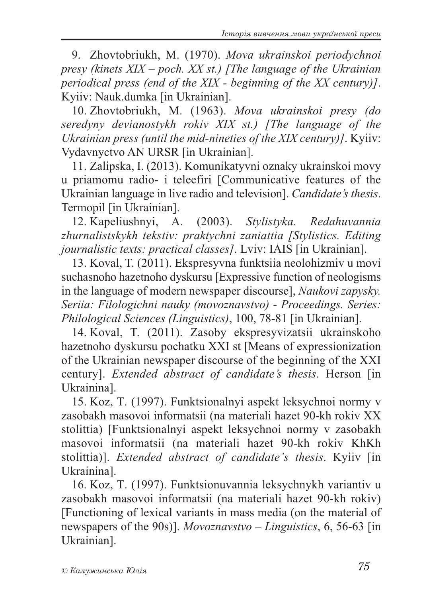9. Zhovtobriukh, M. (1970). *Mova ukrainskoi periodychnoi presy (kinets XIX – poch. XX st.) [The language of the Ukrainian periodical press (end of the XIX - beginning of the XX century)]*. Kyiiv: Nauk.dumka [in Ukrainian].

10. Zhovtobriukh, M. (1963). *Mova ukrainskoi presy (do seredyny devianostykh rokiv XIX st.) [The language of the Ukrainian press (until the mid-nineties of the XIX century)]*. Kyiiv: Vydavnyctvo AN URSR [in Ukrainian].

11. Zalipska, I. (2013). Komunikatyvni oznaky ukrainskoi movy u priamomu radio- i teleefiri [Communicative features of the Ukrainian language in live radio and television]. *Candidate's thesis*. Termopil [in Ukrainian].

12. Kapeliushnyi, A. (2003). *Stylistyka. Redahuvannia zhurnalistskykh tekstiv: praktychni zaniattia [Stylistics. Editing journalistic texts: practical classes]*. Lviv: IAIS [in Ukrainian].

13. Koval, T. (2011). Ekspresyvna funktsiia neolohizmiv u movi suchasnoho hazetnoho dyskursu [Expressive function of neologisms in the language of modern newspaper discourse], *Naukovi zapysky. Seriia: Filologichni nauky (movoznavstvo) - Proceedings. Series: Philological Sciences (Linguistics)*, 100, 78-81 [in Ukrainian].

14. Koval, T. (2011). Zasoby ekspresyvizatsii ukrainskoho hazetnoho dyskursu pochatku XXI st [Means of expressionization of the Ukrainian newspaper discourse of the beginning of the XXI century]. *Extended abstract of candidate's thesis*. Herson [in Ukrainina].

15. Koz, T. (1997). Funktsionalnyi aspekt leksychnoi normy v zasobakh masovoi informatsii (na materiali hazet 90-kh rokiv XX stolittia) [Funktsionalnyi aspekt leksychnoi normy v zasobakh masovoi informatsii (na materiali hazet 90-kh rokiv KhKh stolittia)]. *Extended abstract of candidate's thesis*. Kyiiv [in Ukrainina].

16. Koz, T. (1997). Funktsionuvannia leksychnykh variantiv u zasobakh masovoi informatsii (na materiali hazet 90-kh rokiv) [Functioning of lexical variants in mass media (on the material of newspapers of the 90s)]. *Movoznavstvo – Linguistics*, 6, 56-63 [in Ukrainian].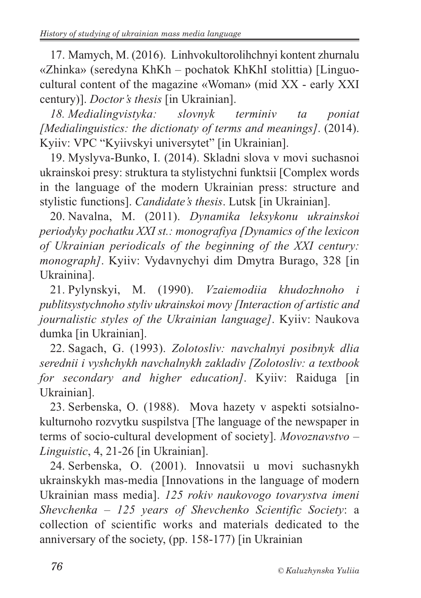17. Mamych, M. (2016). Linhvokultorolihchnyi kontent zhurnalu «Zhinka» (seredyna KhKh – pochatok KhKhI stolittia) [Linguocultural content of the magazine «Woman» (mid XX - early XXI century)]. *Doctor's thesis* [in Ukrainian].

*18. Medialingvistyka: slovnyk terminiv ta poniat [Medialinguistics: the dictionaty of terms and meanings]*. (2014). Kyiiv: VPC "Kyiivskyi universytet" [in Ukrainian].

19. Myslyva-Bunko, I. (2014). Skladni slova v movi suchasnoi ukrainskoi presy: struktura ta stylistychni funktsii [Complex words in the language of the modern Ukrainian press: structure and stylistic functions]. *Candidate's thesis*. Lutsk [in Ukrainian].

20. Navalna, M. (2011). *Dynamika leksykonu ukrainskoi periodyky pochatku XXI st.: monografiya [Dynamics of the lexicon of Ukrainian periodicals of the beginning of the XXI century: monograph]*. Kyiiv: Vydavnychyi dim Dmytra Burago, 328 [in Ukrainina].

21. Pylynskyi, M. (1990). *Vzaiemodiia khudozhnoho i publitsystychnoho styliv ukrainskoi movy [Interaction of artistic and journalistic styles of the Ukrainian language]*. Kyiiv: Naukova dumka [in Ukrainian].

22. Sagach, G. (1993). *Zolotosliv: navchalnyi posibnyk dlia serednii i vyshchykh navchalnykh zakladiv [Zolotosliv: a textbook for secondary and higher education]*. Kyiiv: Raiduga [in Ukrainian].

23. Serbenska, O. (1988). Mova hazety v aspekti sotsialnokulturnoho rozvytku suspilstva [The language of the newspaper in terms of socio-cultural development of society]. *Movoznavstvo – Linguistic*, 4, 21-26 [in Ukrainian].

24. Serbenska, O. (2001). Innovatsii u movi suchasnykh ukrainskykh mas-media [Innovations in the language of modern Ukrainian mass media]. *125 rokiv naukovogo tovarystva imeni Shevchenka – 125 years of Shevchenko Scientific Society*: a collection of scientific works and materials dedicated to the anniversary of the society, (pp. 158-177) [in Ukrainian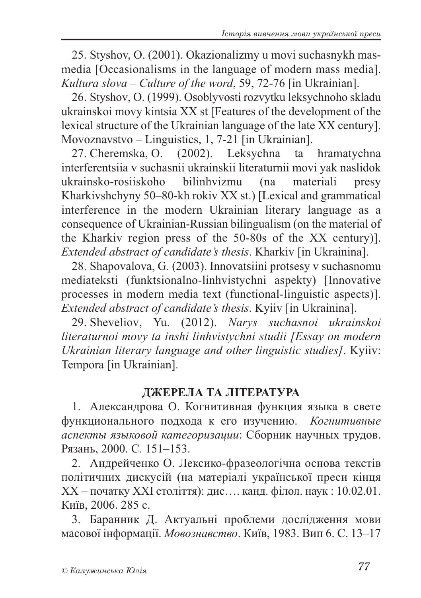25. Styshov, O. (2001). Okazionalizmy u movi suchasnykh masmedia [Occasionalisms in the language of modern mass media]. *Kultura slova – Culture of the word*, 59, 72-76 [in Ukrainian].

26. Styshov, O. (1999). Osoblyvosti rozvytku leksychnoho skladu ukrainskoi movy kintsia XX st [Features of the development of the lexical structure of the Ukrainian language of the late XX century]. Movoznavstvo – Linguistics, 1, 7-21 [in Ukrainian].

27. Cheremska, O. (2002). Leksychna ta hramatychna interferentsiia v suchasnii ukrainskii literaturnii movi yak naslidok ukrainsko-rosiiskoho bilinhvizmu (na materiali presy Kharkivshchyny 50–80-kh rokiv XX st.) [Lexical and grammatical interference in the modern Ukrainian literary language as a consequence of Ukrainian-Russian bilingualism (on the material of the Kharkiv region press of the 50-80s of the XX century)]. *Extended abstract of candidate's thesis*. Kharkiv [in Ukrainina].

28. Shapovalova, G. (2003). Innovatsiini protsesy v suchasnomu mediateksti (funktsionalno-linhvistychni aspekty) [Innovative processes in modern media text (functional-linguistic aspects)]. *Extended abstract of candidate's thesis*. Kyiiv [in Ukrainina].

29. Sheveliov, Yu. (2012). *Narys suchasnoi ukrainskoi literaturnoi movy ta inshi linhvistychni studii [Essay on modern Ukrainian literary language and other linguistic studies]*. Kyiiv: Tempora [in Ukrainian].

#### **ДЖЕРЕЛА ТА ЛІТЕРАТУРА**

1. Александрова О. Когнитивная функция языка в свете функционального подхода к его изучению. *Когнитивные аспекты языковой категоризации*: Сборник научных трудов. Рязань, 2000. С. 151–153.

2. Андрейченко О. Лексико-фразеологічна основа текстів політичних дискусій (на матеріалі української преси кінця ХХ – початку ХХІ століття): дис…. канд. філол. наук : 10.02.01. Київ, 2006. 285 с.

3. Баранник Д. Актуальні проблеми дослідження мови масової інформації. *Мовознавство*. Київ, 1983. Вип 6. С. 13–17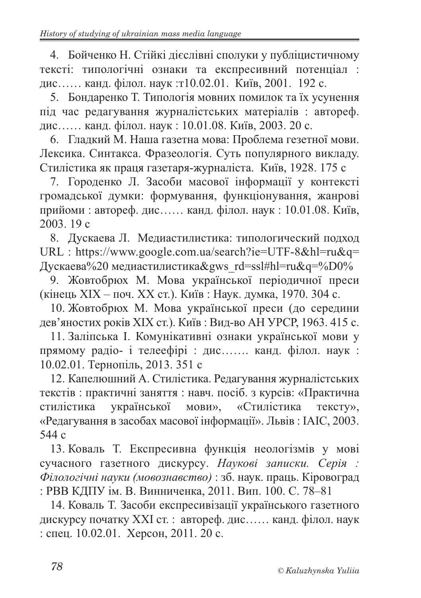4. Бойченко Н. Стійкі дієслівні сполуки у публіцистичному тексті: типологічні ознаки та експресивний потенціал : дис…… канд. філол. наук :т10.02.01. Київ, 2001. 192 с.

5. Бондаренко Т. Типологія мовних помилок та їх усунення під час редагування журналістських матеріалів : автореф. дис…… канд. філол. наук : 10.01.08. Київ, 2003. 20 с.

6. Гладкий М. Наша газетна мова: Проблема гезетної мови. Лексика. Синтакса. Фразеологія. Суть популярного викладу. Стилістика як праця газетаря-журналіста. Київ, 1928. 175 с

7. Городенко Л. Засоби масової інформації у контексті громадської думки: формування, функціонування, жанрові прийоми : автореф. дис…… канд. філол. наук : 10.01.08. Київ, 2003. 19 с

8. Дускаева Л. Медиастилистика: типологический подход URL : https://www.google.com.ua/search?ie=UTF-8&hl=ru&q= Дускаева%20 медиастилистика&gws\_rd=ssl#hl=ru&q=%D0%

9. Жовтобрюх М. Мова української періодичної преси (кінець ХІХ – поч. ХХ ст.). Київ : Наук. думка, 1970. 304 с.

10. Жовтобрюх М. Мова української преси (до середини дев'яностих років ХІХ ст.). Київ : Вид-во АН УРСР, 1963. 415 с.

11. Заліпська І. Комунікативні ознаки української мови у прямому радіо- і телеефірі : дис……. канд. філол. наук : 10.02.01. Тернопіль, 2013. 351 с

12. Капелюшний А. Стилістика. Редагування журналістських текстів : практичні заняття : навч. посіб. з курсів: «Практична стилістика української мови», «Стилістика тексту», «Редагування в засобах масової інформації». Львів : ІАІС, 2003. 544 с

13. Коваль Т. Експресивна функція неологізмів у мові сучасного газетного дискурсу. *Наукові записки. Серія : Філологічні науки (мовознавство)* : зб. наук. праць. Кіровоград : РВВ КДПУ ім. В. Винниченка, 2011. Вип. 100. С. 78–81

14. Коваль Т. Засоби експресивізації українського газетного дискурсу початку ХХІ ст. : автореф. дис…… канд. філол. наук : спец. 10.02.01. Херсон, 2011. 20 с.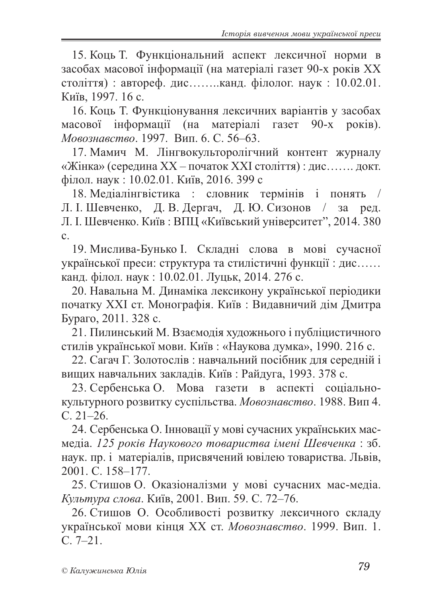15. Коць Т. Функціональний аспект лексичної норми в засобах масової інформації (на матеріалі газет 90-х років ХХ століття) : автореф. дис……..канд. філолог. наук : 10.02.01. Київ, 1997. 16 с.

16. Коць Т. Функціонування лексичних варіантів у засобах масової інформації (на матеріалі газет 90-х років). *Мовознавство*. 1997. Вип. 6. С. 56–63.

17. Мамич М. Лінгвокульторолігчний контент журналу «Жінка» (середина ХХ – початок ХХІ століття) : дис……. докт. філол. наук : 10.02.01. Київ, 2016. 399 с

18. Медіалінгвістика : словник термінів і понять / Л. І. Шевченко, Д. В. Дергач, Д. Ю. Сизонов / за ред. Л. І. Шевченко. Київ: ВПЦ «Київський університет", 2014. 380 с.

19. Мислива-Бунько І. Складні слова в мові сучасної української преси: структура та стилістичні функції : дис…… канд. філол. наук : 10.02.01. Луцьк, 2014. 276 с.

20. Навальна М. Динаміка лексикону української періодики початку ХХІ ст. Монографія. Київ : Видавничий дім Дмитра Бураго, 2011. 328 с.

21. Пилинський М. Взаємодія художнього і публіцистичного стилів української мови. Київ : «Наукова думка», 1990. 216 с.

22. Сагач Г. Золотослів : навчальний посібник для середній і вищих навчальних закладів. Київ : Райдуга, 1993. 378 с.

23. Сербенська О. Мова газети в аспекті соціальнокультурного розвитку суспільства. *Мовознавство*. 1988. Вип 4. С. 21–26.

24. Сербенська О. Інновації у мові сучасних українських масмедіа. *125 років Наукового товариства імені Шевченка* : зб. наук. пр. і матеріалів, присвячений ювілею товариства. Львів, 2001. С. 158–177.

25. Стишов О. Оказіоналізми у мові сучасних мас-медіа. *Культура слова*. Київ, 2001. Вип. 59. С. 72–76.

26. Стишов О. Особливості розвитку лексичного складу української мови кінця ХХ ст. *Мовознавство*. 1999. Вип. 1. С. 7–21.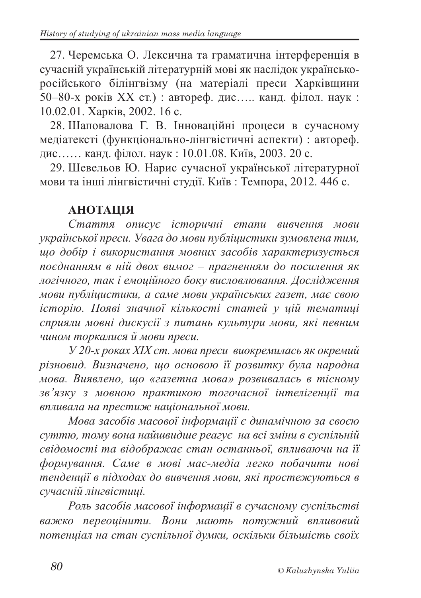27. Черемська О. Лексична та граматична інтерференція в сучасній українській літературній мові як наслідок українськоросійського білінгвізму (на матеріалі преси Харківщини 50–80-х років ХХ ст.) : автореф. дис….. канд. філол. наук : 10.02.01. Харків, 2002. 16 с.

28. Шаповалова Г. В. Інноваційні процеси в сучасному медіатексті (функціонально-лінгвістичні аспекти) : автореф. дис…… канд. філол. наук : 10.01.08. Київ, 2003. 20 с.

29. Шевельов Ю. Нарис сучасної української літературної мови та інші лінгвістичні студії. Київ : Темпора, 2012. 446 с.

# **АНОТАЦІЯ**

*Стаття описує історичні етапи вивчення мови української преси. Увага до мови публіцистики зумовлена тим, що добір і використання мовних засобів характеризується поєднанням в ній двох вимог – прагненням до посилення як логічного, так і емоційного боку висловлювання. Дослідження мови публіцистики, а саме мови українських газет, має свою історію. Появі значної кількості статей у цій тематиці сприяли мовні дискусії з питань культури мови, які певним чином торкалися й мови преси.*

*У 20-х роках ХІХ ст. мова преси виокремилась як окремий різновид. Визначено, що основою її розвитку була народна мова. Виявлено, що «газетна мова» розвивалась в тісному зв'язку з мовною практикою тогочасної інтелігенції та впливала на престиж національної мови.*

*Мова засобів масової інформації є динамічною за своєю суттю, тому вона найшвидше реагує на всі зміни в суспільній свідомості та відображає стан останньої, впливаючи на її формування. Саме в мові мас-медіа легко побачити нові тенденції в підходах до вивчення мови, які простежуються в сучасній лінгвістиці.*

*Роль засобів масової інформації в сучасному суспільстві важко переоцінити. Вони мають потужний впливовий потенціал на стан суспільної думки, оскільки більшість своїх*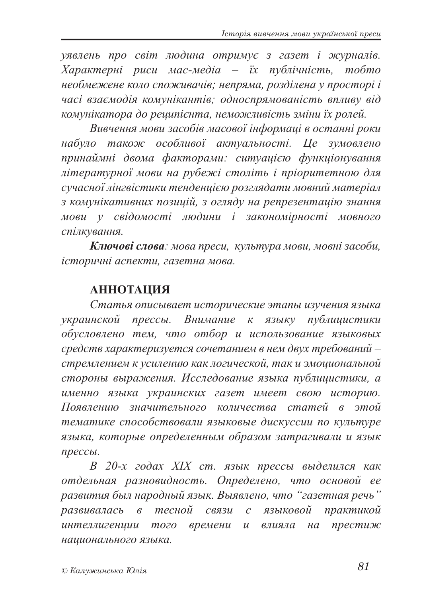*уявлень про світ людина отримує з газет і журналів. Характерні риси мас-медіа – їх публічність, тобто необмежене коло споживачів; непряма, розділена у просторі і часі взаємодія комунікантів; односпрямованість впливу від комунікатора до реципієнта, неможливість зміни їх ролей.*

*Вивчення мови засобів масової інформаці в останні роки набуло також особливої актуальності. Це зумовлено принаймні двома факторами: ситуацією функціонування літературної мови на рубежі століть і пріоритетною для сучасної лінгвістики тенденцією розглядати мовний матеріал з комунікативних позицій, з огляду на репрезентацію знання мови у свідомості людини і закономірності мовного спілкування.*

*Ключові слова: мова преси, культура мови, мовні засоби, історичні аспекти, газетна мова.*

## **АННОТАЦИЯ**

*Статья описывает исторические этапы изучения языка украинской пресcы. Внимание к языку публицистики обусловлено тем, что отбор и использование языковых средств характеризуется сочетанием в нем двух требований – стремлением к усилению как логической, так и эмоциональной стороны выражения. Исследование языка публицистики, а именно языка украинских газет имеет свою историю. Появлению значительного количества статей в этой тематике способствовали языковые дискуссии по культуре языка, которые определенным образом затрагивали и язык прессы.*

*В 20-х годах XIX ст. язык прессы выделился как отдельная разновидность. Определено, что основой ее развития был народный язык. Выявлено, что "газетная речь" развивалась в тесной связи с языковой практикой интеллигенции того времени и влияла на престиж национального языка.*